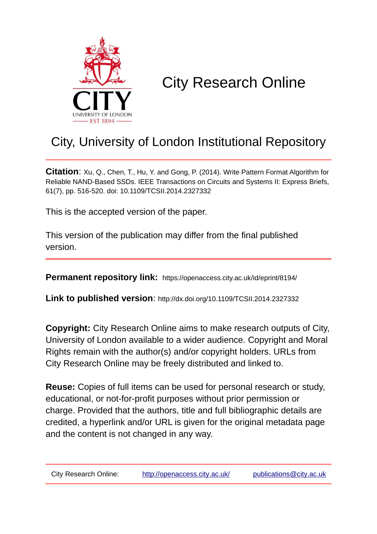

# City Research Online

# City, University of London Institutional Repository

**Citation**: Xu, Q., Chen, T., Hu, Y. and Gong, P. (2014). Write Pattern Format Algorithm for Reliable NAND-Based SSDs. IEEE Transactions on Circuits and Systems II: Express Briefs, 61(7), pp. 516-520. doi: 10.1109/TCSII.2014.2327332

This is the accepted version of the paper.

This version of the publication may differ from the final published version.

**Permanent repository link:** https://openaccess.city.ac.uk/id/eprint/8194/

**Link to published version**: http://dx.doi.org/10.1109/TCSII.2014.2327332

**Copyright:** City Research Online aims to make research outputs of City, University of London available to a wider audience. Copyright and Moral Rights remain with the author(s) and/or copyright holders. URLs from City Research Online may be freely distributed and linked to.

**Reuse:** Copies of full items can be used for personal research or study, educational, or not-for-profit purposes without prior permission or charge. Provided that the authors, title and full bibliographic details are credited, a hyperlink and/or URL is given for the original metadata page and the content is not changed in any way.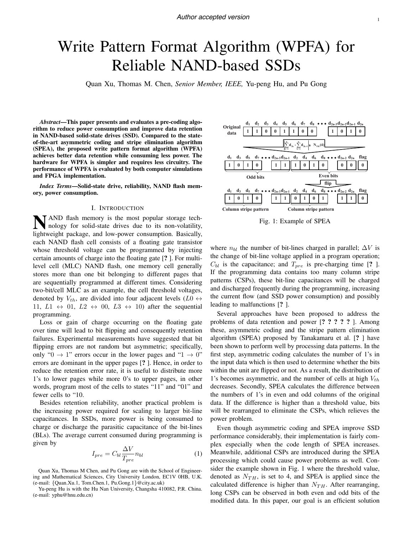# Write Pattern Format Algorithm (WPFA) for Reliable NAND-based SSDs

Quan Xu, Thomas M. Chen, *Senior Member, IEEE,* Yu-peng Hu, and Pu Gong

*Abstract*—This paper presents and evaluates a pre-coding algorithm to reduce power consumption and improve data retention in NAND-based solid-state drives (SSD). Compared to the stateof-the-art asymmetric coding and stripe elimination algorithm (SPEA), the proposed write pattern format algorithm (WPFA) achieves better data retention while consuming less power. The hardware for WPFA is simpler and requires less circuitry. The performance of WPFA is evaluated by both computer simulations and FPGA implementation.

*Index Terms*—Solid-state drive, reliability, NAND flash memory, power consumption.

#### I. INTRODUCTION

NAND flash memory is the most popular storage tech-<br>nology for solid state due nology for solid-state drives due to its non-volatility, lightweight package, and low-power consumption. Basically, each NAND flash cell consists of a floating gate transistor whose threshold voltage can be programmed by injecting certain amounts of charge into the floating gate [? ]. For multilevel cell (MLC) NAND flash, one memory cell generally stores more than one bit belonging to different pages that are sequentially programmed at different times. Considering two-bit/cell MLC as an example, the cell threshold voltages, denoted by  $V_{th}$ , are divided into four adjacent levels ( $L0 \leftrightarrow$ 11,  $L1 \leftrightarrow 01$ ,  $L2 \leftrightarrow 00$ ,  $L3 \leftrightarrow 10$ ) after the sequential programming.

Loss or gain of charge occurring on the floating gate over time will lead to bit flipping and consequently retention failures. Experimental measurements have suggested that bit flipping errors are not random but asymmetric; specifically, only " $0 \rightarrow 1$ " errors occur in the lower pages and " $1 \rightarrow 0$ " errors are dominant in the upper pages [? ]. Hence, in order to reduce the retention error rate, it is useful to distribute more 1's to lower pages while more 0's to upper pages, in other words, program most of the cells to states "11" and "01" and fewer cells to "10.

Besides retention reliability, another practical problem is the increasing power required for scaling to larger bit-line capacitances. In SSDs, more power is being consumed to charge or discharge the parasitic capacitance of the bit-lines (BLs). The average current consumed during programming is given by

$$
I_{pre} = C_{bl} \frac{\Delta V}{T_{pre}} n_{bl}
$$
 (1)

Yu-peng Hu is with the Hu Nan University, Changsha 410082, P.R. China. (e-mail: yphu@hnu.edu.cn)



Fig. 1: Example of SPEA

where  $n_{bl}$  the number of bit-lines charged in parallel;  $\Delta V$  is the change of bit-line voltage applied in a program operation;  $C_{bl}$  is the capacitance; and  $T_{pre}$  is pre-charging time [? ]. If the programming data contains too many column stripe patterns (CSPs), these bit-line capacitances will be charged and discharged frequently during the programming, increasing the current flow (and SSD power consumption) and possibly leading to malfunctions [? ].

Several approaches have been proposed to address the problems of data retention and power [????? ]. Among these, asymmetric coding and the stripe pattern elimination algorithm (SPEA) proposed by Tanakamaru et al. [? ] have been shown to perform well by processing data patterns. In the first step, asymmetric coding calculates the number of 1's in the input data which is then used to determine whether the bits within the unit are flipped or not. As a result, the distribution of 1's becomes asymmetric, and the number of cells at high *Vth* decreases. Secondly, SPEA calculates the difference between the numbers of 1's in even and odd columns of the original data. If the difference is higher than a threshold value, bits will be rearranged to eliminate the CSPs, which relieves the power problem.

Even though asymmetric coding and SPEA improve SSD performance considerably, their implementation is fairly complex especially when the code length of SPEA increases. Meanwhile, additional CSPs are introduced during the SPEA processing which could cause power problems as well. Consider the example shown in Fig. 1 where the threshold value, denoted as  $N_{TH}$ , is set to 4, and SPEA is applied since the calculated difference is higher than  $N_{TH}$ . After rearranging, long CSPs can be observed in both even and odd bits of the modified data. In this paper, our goal is an efficient solution

Quan Xu, Thomas M Chen, and Pu Gong are with the School of Engineering and Mathematical Sciences, City University London, EC1V 0HB, U.K. (e-mail: *{*Quan.Xu.1, Tom.Chen.1, Pu.Gong.1*}*@city.ac.uk)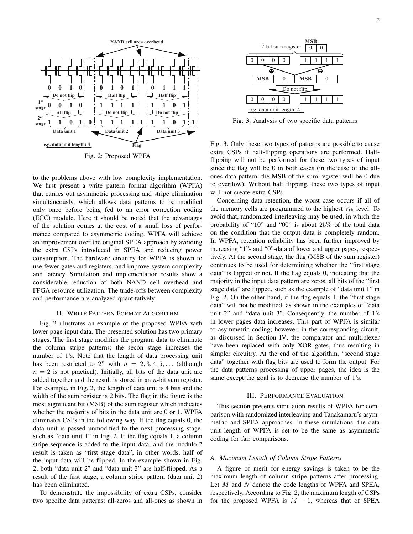

Fig. 2: Proposed WPFA

to the problems above with low complexity implementation. We first present a write pattern format algorithm (WPFA) that carries out asymmetric processing and stripe elimination simultaneously, which allows data patterns to be modified only once before being fed to an error correction coding (ECC) module. Here it should be noted that the advantages of the solution comes at the cost of a small loss of performance compared to asymmetric coding. WPFA will achieve an improvement over the original SPEA approach by avoiding the extra CSPs introduced in SPEA and reducing power consumption. The hardware circuitry for WPFA is shown to use fewer gates and registers, and improve system complexity and latency. Simulation and implementation results show a considerable reduction of both NAND cell overhead and FPGA resource utilization. The trade-offs between complexity and performance are analyzed quantitatively.

#### II. WRITE PATTERN FORMAT ALGORITHM

Fig. 2 illustrates an example of the proposed WPFA with lower page input data. The presented solution has two primary stages. The first stage modifies the program data to eliminate the column stripe patterns; the secon stage increases the number of 1's. Note that the length of data processing unit has been restricted to  $2^n$  with  $n = 2, 3, 4, 5, \ldots$  (although  $n = 2$  is not practical). Initially, all bits of the data unit are added together and the result is stored in an *n*-bit sum register. For example, in Fig. 2, the length of data unit is 4 bits and the width of the sum register is 2 bits. The flag in the figure is the most significant bit (MSB) of the sum register which indicates whether the majority of bits in the data unit are 0 or 1. WPFA eliminates CSPs in the following way. If the flag equals 0, the data unit is passed unmodified to the next processing stage, such as "data unit 1" in Fig. 2. If the flag equals 1, a column stripe sequence is added to the input data, and the modulo-2 result is taken as "first stage data", in other words, half of the input data will be flipped. In the example shown in Fig. 2, both "data unit 2" and "data unit 3" are half-flipped. As a result of the first stage, a column stripe pattern (data unit 2) has been eliminated.

To demonstrate the impossibility of extra CSPs, consider two specific data patterns: all-zeros and all-ones as shown in



Fig. 3: Analysis of two specific data patterns

Fig. 3. Only these two types of patterns are possible to cause extra CSPs if half-flipping operations are performed. Halfflipping will not be performed for these two types of input since the flag will be 0 in both cases (in the case of the allones data pattern, the MSB of the sum register will be 0 due to overflow). Without half flipping, these two types of input will not create extra CSPs.

Concerning data retention, the worst case occurs if all of the memory cells are programmed to the highest  $V_{th}$  level. To avoid that, randomized interleaving may be used, in which the probability of "10" and "00" is about 25% of the total data on the condition that the output data is completely random. In WPFA, retention reliability has been further improved by increasing "1"- and "0"-data of lower and upper pages, respectively. At the second stage, the flag (MSB of the sum register) continues to be used for determining whether the "first stage data" is flipped or not. If the flag equals 0, indicating that the majority in the input data pattern are zeros, all bits of the "first stage data" are flipped, such as the example of "data unit 1" in Fig. 2. On the other hand, if the flag equals 1, the "first stage data" will not be modified, as shown in the examples of "data unit 2" and "data unit 3". Consequently, the number of 1's in lower pages data increases. This part of WPFA is similar to asymmetric coding; however, in the corresponding circuit, as discussed in Section IV, the comparator and multiplexer have been replaced with only XOR gates, thus resulting in simpler circuitry. At the end of the algorithm, "second stage data" together with flag bits are used to form the output. For the data patterns processing of upper pages, the idea is the same except the goal is to decrease the number of 1's.

#### III. PERFORMANCE EVALUATION

This section presents simulation results of WPFA for comparison with randomized interleaving and Tanakamaru's asymmetric and SPEA approaches. In these simulations, the data unit length of WPFA is set to be the same as asymmetric coding for fair comparisons.

#### *A. Maximum Length of Column Stripe Patterns*

A figure of merit for energy savings is taken to be the maximum length of column stripe patterns after processing. Let *M* and *N* denote the code lengths of WPFA and SPEA, respectively. According to Fig. 2, the maximum length of CSPs for the proposed WPFA is  $M - 1$ , whereas that of SPEA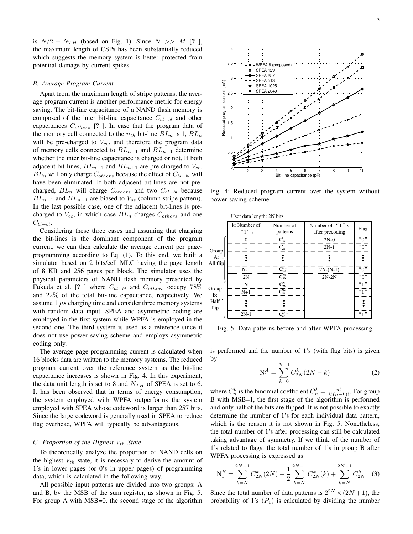is  $N/2 - N_{TH}$  (based on Fig. 1). Since  $N \gg M$  [? ], the maximum length of CSPs has been substantially reduced which suggests the memory system is better protected from potential damage by current spikes.

#### *B. Average Program Current*

Apart from the maximum length of stripe patterns, the average program current is another performance metric for energy saving. The bit-line capacitance of a NAND flash memory is composed of the inter bit-line capacitance  $C_{bl-bl}$  and other capacitances *Cothers* [? ]. In case that the program data of the memory cell connected to the  $n_{th}$  bit-line  $BL_n$  is 1,  $BL_n$ will be pre-charged to *Vcc*, and therefore the program data of memory cells connected to  $BL_{n-1}$  and  $BL_{n+1}$  determine whether the inter bit-line capacitance is charged or not. If both adjacent bit-lines,  $BL_{n-1}$  and  $BL_{n+1}$  are pre-charged to  $V_{cc}$ ,  $BL_n$  will only charge  $C_{others}$  because the effect of  $C_{bl-bl}$  will have been eliminated. If both adjacent bit-lines are not precharged,  $BL_n$  will charge  $C_{others}$  and two  $C_{bl-bl}$  because  $BL_{n-1}$  and  $BL_{n+1}$  are biased to  $V_{ss}$  (column stripe pattern). In the last possible case, one of the adjacent bit-lines is precharged to  $V_{cc}$ , in which case  $BL_n$  charges  $C_{others}$  and one  $C_{bl-bl}.$ 

Considering these three cases and assuming that charging the bit-lines is the dominant component of the program current, we can then calculate the average current per pageprogramming according to Eq. (1). To this end, we built a simulator based on 2 bits/cell MLC having the page length of 8 KB and 256 pages per block. The simulator uses the physical parameters of NAND flash memory presented by Fukuda et al. [? ] where  $C_{bl-bl}$  and  $C_{others}$  occupy 78% and 22% of the total bit-line capacitance, respectively. We assume  $1 \mu s$  charging time and consider three memory systems with random data input. SPEA and asymmetric coding are employed in the first system while WPFA is employed in the second one. The third system is used as a reference since it does not use power saving scheme and employs asymmetric coding only.

The average page-programming current is calculated when 16 blocks data are written to the memory systems. The reduced program current over the reference system as the bit-line capacitance increases is shown in Fig. 4. In this experiment, the data unit length is set to 8 and  $N_{TH}$  of SPEA is set to 6. It has been observed that in terms of energy consumption, the system employed with WPFA outperforms the system employed with SPEA whose codeword is larger than 257 bits. Since the large codeword is generally used in SPEA to reduce flag overhead, WPFA will typically be advantageous.

#### *C. Proportion of the Highest Vth State*

To theoretically analyze the proportion of NAND cells on the highest  $V_{th}$  state, it is necessary to derive the amount of 1's in lower pages (or 0's in upper pages) of programming data, which is calculated in the following way.

All possible input patterns are divided into two groups: A and B, by the MSB of the sum register, as shown in Fig. 5. For group A with MSB=0, the second stage of the algorithm



Fig. 4: Reduced program current over the system without power saving scheme

|                             | User data length: 2N bits |                                                                                                                            |                                    |                               |  |
|-----------------------------|---------------------------|----------------------------------------------------------------------------------------------------------------------------|------------------------------------|-------------------------------|--|
|                             | k: Number of<br>$4'1''$ s | Number of<br>patterns                                                                                                      | Number of "1" s<br>after precoding | Flag                          |  |
| Group<br>A:<br>All flip     | 0                         | $C_{2N}^0$                                                                                                                 | $2N-0$                             | "0"                           |  |
|                             |                           | $\mathbf{C}^1_{\text{2N}}$                                                                                                 | $2N-1$                             | $\overline{``}0\overline{''}$ |  |
|                             |                           |                                                                                                                            |                                    |                               |  |
|                             | $N-1$                     | $\bar{C^{N\text{-}1}_{\text{2N}}}$                                                                                         | $2N-(N-1)$                         | "0"                           |  |
|                             | 2N                        | $\overline{\text{C}}_{\text{2N}}^{\text{2N}}$                                                                              | $2N-2N$                            | $\sqrt[a]{\cdot}$             |  |
| Group<br>B:<br>Half<br>flip | N                         |                                                                                                                            |                                    | 4, 9                          |  |
|                             | $N+1$                     | $\begin{array}{l} \mathbf{C}^{\mathrm{N}}_{\mathrm{2N}} \\ \overline{\mathbf{C}^{\mathrm{N+1}}_{\mathrm{2N}}} \end{array}$ |                                    | 4'1''                         |  |
|                             |                           |                                                                                                                            |                                    |                               |  |
|                             | $2N-1$                    | $\overline{C_{2N-1}^{2N-1}}$                                                                                               |                                    | 4, 7                          |  |

Fig. 5: Data patterns before and after WPFA processing

is performed and the number of 1's (with flag bits) is given by

$$
N_1^A = \sum_{k=0}^{N-1} C_{2N}^k (2N - k)
$$
 (2)

where  $C_n^k$  is the binomial coefficient  $C_n^k = \frac{n!}{k!(n-k)!}$ . For group B with MSB=1, the first stage of the algorithm is performed and only half of the bits are flipped. It is not possible to exactly determine the number of 1's for each individual data pattern, which is the reason it is not shown in Fig. 5. Nonetheless, the total number of 1's after processing can still be calculated taking advantage of symmetry. If we think of the number of 1's related to flags, the total number of 1's in group B after WPFA processing is expressed as

$$
N_1^B = \sum_{k=N}^{2N-1} C_{2N}^k (2N) - \frac{1}{2} \sum_{k=N}^{2N-1} C_{2N}^k (k) + \sum_{k=N}^{2N-1} C_{2N}^k \tag{3}
$$

Since the total number of data patterns is  $2^{2N} \times (2N+1)$ , the probability of  $1$ 's  $(P_1)$  is calculated by dividing the number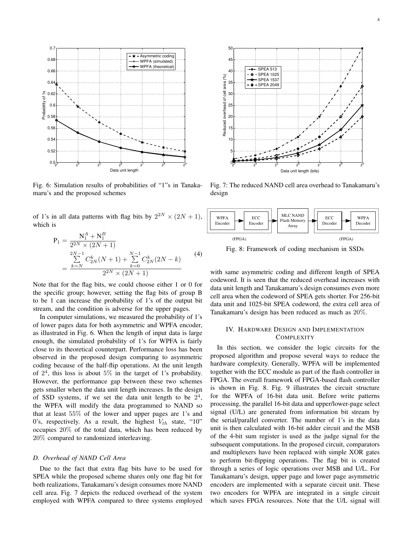

Fig. 6: Simulation results of probabilities of "1"s in Tanakamaru's and the proposed schemes

of 1's in all data patterns with flag bits by  $2^{2N} \times (2N + 1)$ , which is

$$
P_1 = \frac{N_1^A + N_1^B}{2^{2N} \times (2N+1)}
$$
  
= 
$$
\frac{\sum_{k=N}^{2N-1} C_{2N}^k (N+1) + \sum_{k=0}^{N-1} C_{2N}^k (2N-k)}{2^{2N} \times (2N+1)}
$$
 (4)

Note that for the flag bits, we could choose either 1 or 0 for the specific group; however, setting the flag bits of group B to be 1 can increase the probability of 1's of the output bit stream, and the condition is adverse for the upper pages.

In computer simulations, we measured the probability of 1's of lower pages data for both asymmetric and WPFA encoder, as illustrated in Fig. 6. When the length of input data is large enough, the simulated probability of 1's for WPFA is fairly close to its theoretical counterpart. Performance loss has been observed in the proposed design comparing to asymmetric coding because of the half-flip operations. At the unit length of  $2<sup>4</sup>$ , this loss is about  $5\%$  in the target of 1's probability. However, the performance gap between these two schemes gets smaller when the data unit length increases. In the design of SSD systems, if we set the data unit length to be  $2<sup>4</sup>$ , the WPFA will modify the data programmed to NAND so that at least 55% of the lower and upper pages are 1's and 0's, respectively. As a result, the highest  $V_{th}$  state, "10" occupies 20% of the total data, which has been reduced by 20% compared to randomized interleaving.

### *D. Overhead of NAND Cell Area*

Due to the fact that extra flag bits have to be used for SPEA while the proposed scheme shares only one flag bit for both realizations, Tanakamaru's design consumes more NAND cell area. Fig. 7 depicts the reduced overhead of the system employed with WPFA compared to three systems employed



Fig. 7: The reduced NAND cell area overhead to Tanakamaru's design



Fig. 8: Framework of coding mechanism in SSDs

with same asymmetric coding and different length of SPEA codeword. It is seen that the reduced overhead increases with data unit length and Tanakamaru's design consumes even more cell area when the codeword of SPEA gets shorter. For 256-bit data unit and 1025-bit SPEA codeword, the extra cell area of Tanakamaru's design has been reduced as much as 20%.

## IV. HARDWARE DESIGN AND IMPLEMENTATION **COMPLEXITY**

In this section, we consider the logic circuits for the proposed algorithm and propose several ways to reduce the hardware complexity. Generally, WPFA will be implemented together with the ECC module as part of the flash controller in FPGA. The overall framework of FPGA-based flash controller is shown in Fig. 8. Fig. 9 illustrates the circuit structure for the WPFA of 16-bit data unit. Before write patterns processing, the parallel 16-bit data and upper/lower-page select signal (U/L) are generated from information bit stream by the serial/parallel converter. The number of 1's in the data unit is then calculated with 16-bit adder circuit and the MSB of the 4-bit sum register is used as the judge signal for the subsequent computations. In the proposed circuit, comparators and multiplexers have been replaced with simple XOR gates to perform bit-flipping operations. The flag bit is created through a series of logic operations over MSB and U/L. For Tanakamaru's design, upper page and lower page asymmetric encoders are implemented with a separate circuit unit. These two encoders for WPFA are integrated in a single circuit which saves FPGA resources. Note that the U/L signal will